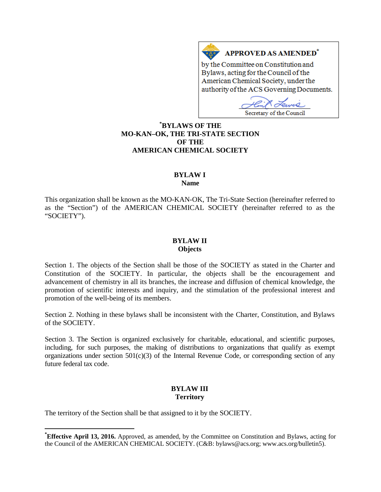# APPROVED AS AMENDED\*

by the Committee on Constitution and Bylaws, acting for the Council of the American Chemical Society, under the authority of the ACS Governing Documents.

 $\mathcal{O}_{I}$ Secretary of the Council

# **[\\*](#page-0-0) BYLAWS OF THE MO-KAN–OK, THE TRI-STATE SECTION OF THE AMERICAN CHEMICAL SOCIETY**

 $A \overline{\triangle}$ 

#### **BYLAW I Name**

This organization shall be known as the MO-KAN-OK, The Tri-State Section (hereinafter referred to as the "Section") of the AMERICAN CHEMICAL SOCIETY (hereinafter referred to as the "SOCIETY").

#### **BYLAW II Objects**

Section 1. The objects of the Section shall be those of the SOCIETY as stated in the Charter and Constitution of the SOCIETY. In particular, the objects shall be the encouragement and advancement of chemistry in all its branches, the increase and diffusion of chemical knowledge, the promotion of scientific interests and inquiry, and the stimulation of the professional interest and promotion of the well-being of its members.

Section 2. Nothing in these bylaws shall be inconsistent with the Charter, Constitution, and Bylaws of the SOCIETY.

Section 3. The Section is organized exclusively for charitable, educational, and scientific purposes, including, for such purposes, the making of distributions to organizations that qualify as exempt organizations under section  $501(c)(3)$  of the Internal Revenue Code, or corresponding section of any future federal tax code.

#### **BYLAW III Territory**

The territory of the Section shall be that assigned to it by the SOCIETY.

<span id="page-0-0"></span>**\* Effective April 13, 2016.** Approved, as amended, by the Committee on Constitution and Bylaws, acting for the Council of the AMERICAN CHEMICAL SOCIETY. (C&B: bylaws@acs.org; www.acs.org/bulletin5).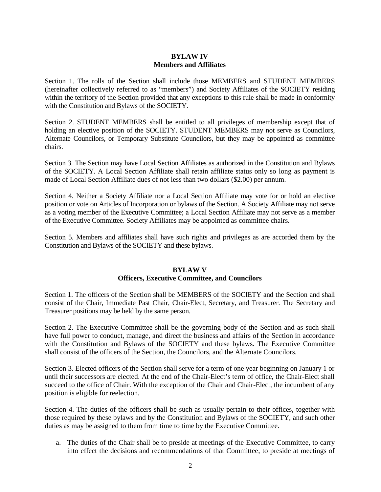### **BYLAW IV Members and Affiliates**

Section 1. The rolls of the Section shall include those MEMBERS and STUDENT MEMBERS (hereinafter collectively referred to as "members") and Society Affiliates of the SOCIETY residing within the territory of the Section provided that any exceptions to this rule shall be made in conformity with the Constitution and Bylaws of the SOCIETY.

Section 2. STUDENT MEMBERS shall be entitled to all privileges of membership except that of holding an elective position of the SOCIETY. STUDENT MEMBERS may not serve as Councilors, Alternate Councilors, or Temporary Substitute Councilors, but they may be appointed as committee chairs.

Section 3. The Section may have Local Section Affiliates as authorized in the Constitution and Bylaws of the SOCIETY. A Local Section Affiliate shall retain affiliate status only so long as payment is made of Local Section Affiliate dues of not less than two dollars (\$2.00) per annum.

Section 4. Neither a Society Affiliate nor a Local Section Affiliate may vote for or hold an elective position or vote on Articles of Incorporation or bylaws of the Section. A Society Affiliate may not serve as a voting member of the Executive Committee; a Local Section Affiliate may not serve as a member of the Executive Committee. Society Affiliates may be appointed as committee chairs.

Section 5. Members and affiliates shall have such rights and privileges as are accorded them by the Constitution and Bylaws of the SOCIETY and these bylaws.

#### **BYLAW V Officers, Executive Committee, and Councilors**

Section 1. The officers of the Section shall be MEMBERS of the SOCIETY and the Section and shall consist of the Chair, Immediate Past Chair, Chair-Elect, Secretary, and Treasurer. The Secretary and Treasurer positions may be held by the same person.

Section 2. The Executive Committee shall be the governing body of the Section and as such shall have full power to conduct, manage, and direct the business and affairs of the Section in accordance with the Constitution and Bylaws of the SOCIETY and these bylaws. The Executive Committee shall consist of the officers of the Section, the Councilors, and the Alternate Councilors.

Section 3. Elected officers of the Section shall serve for a term of one year beginning on January 1 or until their successors are elected. At the end of the Chair-Elect's term of office, the Chair-Elect shall succeed to the office of Chair. With the exception of the Chair and Chair-Elect, the incumbent of any position is eligible for reelection.

Section 4. The duties of the officers shall be such as usually pertain to their offices, together with those required by these bylaws and by the Constitution and Bylaws of the SOCIETY, and such other duties as may be assigned to them from time to time by the Executive Committee.

a. The duties of the Chair shall be to preside at meetings of the Executive Committee, to carry into effect the decisions and recommendations of that Committee, to preside at meetings of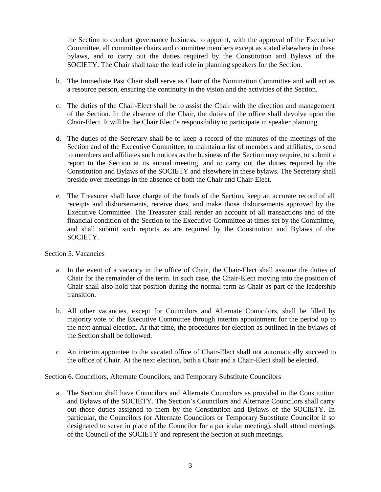the Section to conduct governance business, to appoint, with the approval of the Executive Committee, all committee chairs and committee members except as stated elsewhere in these bylaws, and to carry out the duties required by the Constitution and Bylaws of the SOCIETY. The Chair shall take the lead role in planning speakers for the Section.

- b. The Immediate Past Chair shall serve as Chair of the Nomination Committee and will act as a resource person, ensuring the continuity in the vision and the activities of the Section.
- c. The duties of the Chair-Elect shall be to assist the Chair with the direction and management of the Section. In the absence of the Chair, the duties of the office shall devolve upon the Chair-Elect. It will be the Chair Elect's responsibility to participate in speaker planning.
- d. The duties of the Secretary shall be to keep a record of the minutes of the meetings of the Section and of the Executive Committee, to maintain a list of members and affiliates, to send to members and affiliates such notices as the business of the Section may require, to submit a report to the Section at its annual meeting, and to carry out the duties required by the Constitution and Bylaws of the SOCIETY and elsewhere in these bylaws. The Secretary shall preside over meetings in the absence of both the Chair and Chair-Elect.
- e. The Treasurer shall have charge of the funds of the Section, keep an accurate record of all receipts and disbursements, receive dues, and make those disbursements approved by the Executive Committee. The Treasurer shall render an account of all transactions and of the financial condition of the Section to the Executive Committee at times set by the Committee, and shall submit such reports as are required by the Constitution and Bylaws of the SOCIETY.

Section 5. Vacancies

- a. In the event of a vacancy in the office of Chair, the Chair-Elect shall assume the duties of Chair for the remainder of the term. In such case, the Chair-Elect moving into the position of Chair shall also hold that position during the normal term as Chair as part of the leadership transition.
- b. All other vacancies, except for Councilors and Alternate Councilors, shall be filled by majority vote of the Executive Committee through interim appointment for the period up to the next annual election. At that time, the procedures for election as outlined in the bylaws of the Section shall be followed.
- c. An interim appointee to the vacated office of Chair-Elect shall not automatically succeed to the office of Chair. At the next election, both a Chair and a Chair-Elect shall be elected.

Section 6. Councilors, Alternate Councilors, and Temporary Substitute Councilors

a. The Section shall have Councilors and Alternate Councilors as provided in the Constitution and Bylaws of the SOCIETY. The Section's Councilors and Alternate Councilors shall carry out those duties assigned to them by the Constitution and Bylaws of the SOCIETY. In particular, the Councilors (or Alternate Councilors or Temporary Substitute Councilor if so designated to serve in place of the Councilor for a particular meeting), shall attend meetings of the Council of the SOCIETY and represent the Section at such meetings.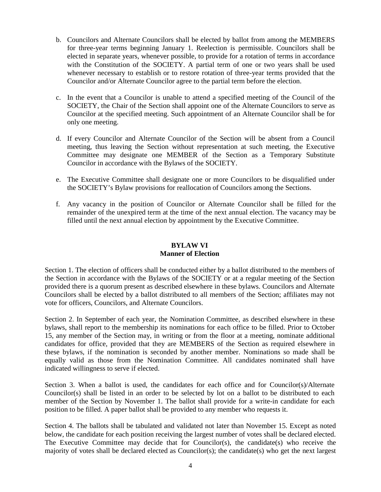- b. Councilors and Alternate Councilors shall be elected by ballot from among the MEMBERS for three-year terms beginning January 1. Reelection is permissible. Councilors shall be elected in separate years, whenever possible, to provide for a rotation of terms in accordance with the Constitution of the SOCIETY. A partial term of one or two years shall be used whenever necessary to establish or to restore rotation of three-year terms provided that the Councilor and/or Alternate Councilor agree to the partial term before the election.
- c. In the event that a Councilor is unable to attend a specified meeting of the Council of the SOCIETY, the Chair of the Section shall appoint one of the Alternate Councilors to serve as Councilor at the specified meeting. Such appointment of an Alternate Councilor shall be for only one meeting.
- d. If every Councilor and Alternate Councilor of the Section will be absent from a Council meeting, thus leaving the Section without representation at such meeting, the Executive Committee may designate one MEMBER of the Section as a Temporary Substitute Councilor in accordance with the Bylaws of the SOCIETY.
- e. The Executive Committee shall designate one or more Councilors to be disqualified under the SOCIETY's Bylaw provisions for reallocation of Councilors among the Sections.
- f. Any vacancy in the position of Councilor or Alternate Councilor shall be filled for the remainder of the unexpired term at the time of the next annual election. The vacancy may be filled until the next annual election by appointment by the Executive Committee.

# **BYLAW VI Manner of Election**

Section 1. The election of officers shall be conducted either by a ballot distributed to the members of the Section in accordance with the Bylaws of the SOCIETY or at a regular meeting of the Section provided there is a quorum present as described elsewhere in these bylaws. Councilors and Alternate Councilors shall be elected by a ballot distributed to all members of the Section; affiliates may not vote for officers, Councilors, and Alternate Councilors.

Section 2. In September of each year, the Nomination Committee, as described elsewhere in these bylaws, shall report to the membership its nominations for each office to be filled. Prior to October 15, any member of the Section may, in writing or from the floor at a meeting, nominate additional candidates for office, provided that they are MEMBERS of the Section as required elsewhere in these bylaws, if the nomination is seconded by another member. Nominations so made shall be equally valid as those from the Nomination Committee. All candidates nominated shall have indicated willingness to serve if elected.

Section 3. When a ballot is used, the candidates for each office and for Councilor(s)/Alternate Councilor(s) shall be listed in an order to be selected by lot on a ballot to be distributed to each member of the Section by November 1. The ballot shall provide for a write-in candidate for each position to be filled. A paper ballot shall be provided to any member who requests it.

Section 4. The ballots shall be tabulated and validated not later than November 15. Except as noted below, the candidate for each position receiving the largest number of votes shall be declared elected. The Executive Committee may decide that for Councilor(s), the candidate(s) who receive the majority of votes shall be declared elected as Councilor(s); the candidate(s) who get the next largest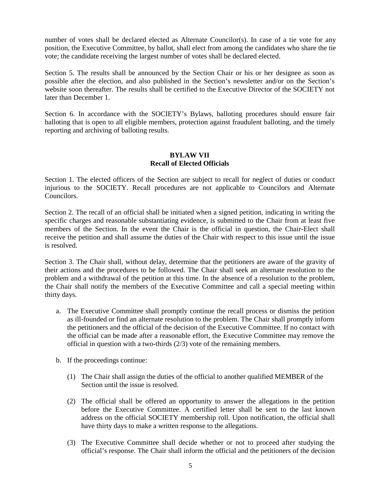number of votes shall be declared elected as Alternate Councilor(s). In case of a tie vote for any position, the Executive Committee, by ballot, shall elect from among the candidates who share the tie vote; the candidate receiving the largest number of votes shall be declared elected.

Section 5. The results shall be announced by the Section Chair or his or her designee as soon as possible after the election, and also published in the Section's newsletter and/or on the Section's website soon thereafter. The results shall be certified to the Executive Director of the SOCIETY not later than December 1.

Section 6. In accordance with the SOCIETY's Bylaws, balloting procedures should ensure fair balloting that is open to all eligible members, protection against fraudulent balloting, and the timely reporting and archiving of balloting results.

### **BYLAW VII Recall of Elected Officials**

Section 1. The elected officers of the Section are subject to recall for neglect of duties or conduct injurious to the SOCIETY. Recall procedures are not applicable to Councilors and Alternate Councilors.

Section 2. The recall of an official shall be initiated when a signed petition, indicating in writing the specific charges and reasonable substantiating evidence, is submitted to the Chair from at least five members of the Section. In the event the Chair is the official in question, the Chair-Elect shall receive the petition and shall assume the duties of the Chair with respect to this issue until the issue is resolved.

Section 3. The Chair shall, without delay, determine that the petitioners are aware of the gravity of their actions and the procedures to be followed. The Chair shall seek an alternate resolution to the problem and a withdrawal of the petition at this time. In the absence of a resolution to the problem, the Chair shall notify the members of the Executive Committee and call a special meeting within thirty days.

- a. The Executive Committee shall promptly continue the recall process or dismiss the petition as ill-founded or find an alternate resolution to the problem. The Chair shall promptly inform the petitioners and the official of the decision of the Executive Committee. If no contact with the official can be made after a reasonable effort, the Executive Committee may remove the official in question with a two-thirds (2/3) vote of the remaining members.
- b. If the proceedings continue:
	- (1) The Chair shall assign the duties of the official to another qualified MEMBER of the Section until the issue is resolved.
	- (2) The official shall be offered an opportunity to answer the allegations in the petition before the Executive Committee. A certified letter shall be sent to the last known address on the official SOCIETY membership roll. Upon notification, the official shall have thirty days to make a written response to the allegations.
	- (3) The Executive Committee shall decide whether or not to proceed after studying the official's response. The Chair shall inform the official and the petitioners of the decision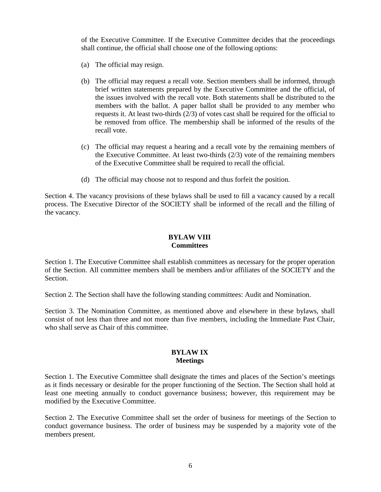of the Executive Committee. If the Executive Committee decides that the proceedings shall continue, the official shall choose one of the following options:

- (a) The official may resign.
- (b) The official may request a recall vote. Section members shall be informed, through brief written statements prepared by the Executive Committee and the official, of the issues involved with the recall vote. Both statements shall be distributed to the members with the ballot. A paper ballot shall be provided to any member who requests it. At least two-thirds (2/3) of votes cast shall be required for the official to be removed from office. The membership shall be informed of the results of the recall vote.
- (c) The official may request a hearing and a recall vote by the remaining members of the Executive Committee. At least two-thirds (2/3) vote of the remaining members of the Executive Committee shall be required to recall the official.
- (d) The official may choose not to respond and thus forfeit the position.

Section 4. The vacancy provisions of these bylaws shall be used to fill a vacancy caused by a recall process. The Executive Director of the SOCIETY shall be informed of the recall and the filling of the vacancy.

# **BYLAW VIII Committees**

Section 1. The Executive Committee shall establish committees as necessary for the proper operation of the Section. All committee members shall be members and/or affiliates of the SOCIETY and the Section.

Section 2. The Section shall have the following standing committees: Audit and Nomination.

Section 3. The Nomination Committee, as mentioned above and elsewhere in these bylaws, shall consist of not less than three and not more than five members, including the Immediate Past Chair, who shall serve as Chair of this committee.

# **BYLAW IX Meetings**

Section 1. The Executive Committee shall designate the times and places of the Section's meetings as it finds necessary or desirable for the proper functioning of the Section. The Section shall hold at least one meeting annually to conduct governance business; however, this requirement may be modified by the Executive Committee.

Section 2. The Executive Committee shall set the order of business for meetings of the Section to conduct governance business. The order of business may be suspended by a majority vote of the members present.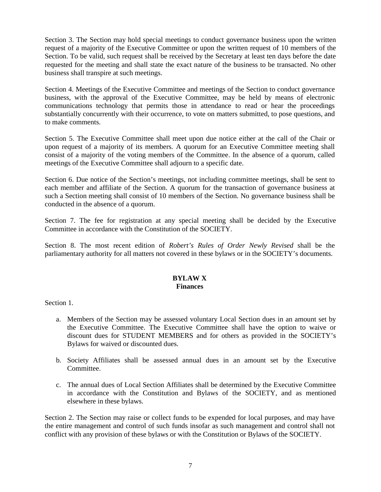Section 3. The Section may hold special meetings to conduct governance business upon the written request of a majority of the Executive Committee or upon the written request of 10 members of the Section. To be valid, such request shall be received by the Secretary at least ten days before the date requested for the meeting and shall state the exact nature of the business to be transacted. No other business shall transpire at such meetings.

Section 4. Meetings of the Executive Committee and meetings of the Section to conduct governance business, with the approval of the Executive Committee, may be held by means of electronic communications technology that permits those in attendance to read or hear the proceedings substantially concurrently with their occurrence, to vote on matters submitted, to pose questions, and to make comments.

Section 5. The Executive Committee shall meet upon due notice either at the call of the Chair or upon request of a majority of its members. A quorum for an Executive Committee meeting shall consist of a majority of the voting members of the Committee. In the absence of a quorum, called meetings of the Executive Committee shall adjourn to a specific date.

Section 6. Due notice of the Section's meetings, not including committee meetings, shall be sent to each member and affiliate of the Section. A quorum for the transaction of governance business at such a Section meeting shall consist of 10 members of the Section. No governance business shall be conducted in the absence of a quorum.

Section 7. The fee for registration at any special meeting shall be decided by the Executive Committee in accordance with the Constitution of the SOCIETY.

Section 8. The most recent edition of *Robert's Rules of Order Newly Revised* shall be the parliamentary authority for all matters not covered in these bylaws or in the SOCIETY's documents.

#### **BYLAW X Finances**

Section 1.

- a. Members of the Section may be assessed voluntary Local Section dues in an amount set by the Executive Committee. The Executive Committee shall have the option to waive or discount dues for STUDENT MEMBERS and for others as provided in the SOCIETY's Bylaws for waived or discounted dues.
- b. Society Affiliates shall be assessed annual dues in an amount set by the Executive Committee.
- c. The annual dues of Local Section Affiliates shall be determined by the Executive Committee in accordance with the Constitution and Bylaws of the SOCIETY, and as mentioned elsewhere in these bylaws.

Section 2. The Section may raise or collect funds to be expended for local purposes, and may have the entire management and control of such funds insofar as such management and control shall not conflict with any provision of these bylaws or with the Constitution or Bylaws of the SOCIETY.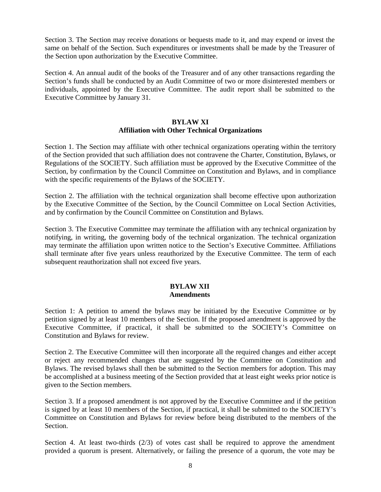Section 3. The Section may receive donations or bequests made to it, and may expend or invest the same on behalf of the Section. Such expenditures or investments shall be made by the Treasurer of the Section upon authorization by the Executive Committee.

Section 4. An annual audit of the books of the Treasurer and of any other transactions regarding the Section's funds shall be conducted by an Audit Committee of two or more disinterested members or individuals, appointed by the Executive Committee. The audit report shall be submitted to the Executive Committee by January 31.

# **BYLAW XI Affiliation with Other Technical Organizations**

Section 1. The Section may affiliate with other technical organizations operating within the territory of the Section provided that such affiliation does not contravene the Charter, Constitution, Bylaws, or Regulations of the SOCIETY. Such affiliation must be approved by the Executive Committee of the Section, by confirmation by the Council Committee on Constitution and Bylaws, and in compliance with the specific requirements of the Bylaws of the SOCIETY.

Section 2. The affiliation with the technical organization shall become effective upon authorization by the Executive Committee of the Section, by the Council Committee on Local Section Activities, and by confirmation by the Council Committee on Constitution and Bylaws.

Section 3. The Executive Committee may terminate the affiliation with any technical organization by notifying, in writing, the governing body of the technical organization. The technical organization may terminate the affiliation upon written notice to the Section's Executive Committee. Affiliations shall terminate after five years unless reauthorized by the Executive Committee. The term of each subsequent reauthorization shall not exceed five years.

### **BYLAW XII Amendments**

Section 1: A petition to amend the bylaws may be initiated by the Executive Committee or by petition signed by at least 10 members of the Section. If the proposed amendment is approved by the Executive Committee, if practical, it shall be submitted to the SOCIETY's Committee on Constitution and Bylaws for review.

Section 2. The Executive Committee will then incorporate all the required changes and either accept or reject any recommended changes that are suggested by the Committee on Constitution and Bylaws. The revised bylaws shall then be submitted to the Section members for adoption. This may be accomplished at a business meeting of the Section provided that at least eight weeks prior notice is given to the Section members.

Section 3. If a proposed amendment is not approved by the Executive Committee and if the petition is signed by at least 10 members of the Section, if practical, it shall be submitted to the SOCIETY's Committee on Constitution and Bylaws for review before being distributed to the members of the Section.

Section 4. At least two-thirds  $(2/3)$  of votes cast shall be required to approve the amendment provided a quorum is present. Alternatively, or failing the presence of a quorum, the vote may be